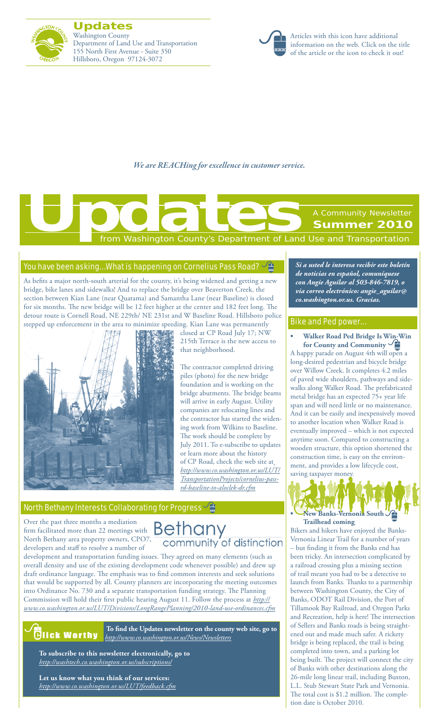

**Updates** Washington County Department of Land Use and Transportation 155 North First Avenue - Suite 350 Hillsboro, Oregon 97124-3072



Articles with this icon have additional information on the web. Click on the title of the article or the icon to check it out!

*We are REACHing for excellence in customer service.*

**Summer 2010**

A Community Newsletter

*Si a usted le interesa recibir este boletín de noticias en español, comuníquese con Angie Aguilar al 503-846-7819, o via correo electrónico: angie\_aguilar@*

**• Walker Road Ped Bridge Is [Win-Win](http://www.co.washington.or.us/LUT/News/walker-road-pedestrian-bridge.cfm) for County and [Community](http://www.co.washington.or.us/LUT/News/walker-road-pedestrian-bridge.cfm)** A happy parade on August 4th will open a long-desired pedestrian and bicycle bridge over Willow Creek. It completes 4.2 miles of paved wide shoulders, pathways and sidewalks along Walker Road. The prefabricated metal bridge has an expected 75+ year life span and will need little or no maintenance. And it can be easily and inexpensively moved to another location when Walker Road is eventually improved – which is not expected anytime soon. Compared to constructing a wooden structure, this option shortened the

*co.washington.or.us. Gracias.*

Bike and Ped power…

from Washington County's Department of Land Use and Transportation **[Updates](http://www.co.washington.or.us/News/Newsletters/updates.cfm)**<br>
From Washington County's Department of Land

### You have been asking... What is happening on Cornelius Pass Road?  $\frac{1}{2}$

As befits a major north-south arterial for the county, it's being widened and getting a new bridge, bike lanes and sidewalks! And to replace the bridge over Beaverton Creek, the section between Kian Lane (near Quatama) and Samantha Lane (near Baseline) is closed for six months. The new bridge will be 12 feet higher at the center and 182 feet long. The detour route is Cornell Road, NE 229th/ NE 231st and W Baseline Road. Hillsboro police stepped up enforcement in the area to minimize speeding. Kian Lane was permanently



closed at CP Road July 17; NW 215th Terrace is the new access to that neighborhood.

The contractor completed driving piles (photo) for the new bridge foundation and is working on the bridge abutments. The bridge beams will arrive in early August. Utility companies are relocating lines and the contractor has started the widening work from Wilkins to Baseline. The work should be complete by July 2011. To e-subscribe to updates or learn more about the history of CP Road, check the web site at *http://www.co.washington.or.us/LUT/ TransportationProjects/cornelius-passrd-baseline-to-aloclek-dr.cfm*

### [North Bethany Interests Collaborating for Progress](http://www.co.washington.or.us/LUT/PlanningProjects/Bethany/index.cfm)  $\frac{\sqrt{4}}{2}$

Over the past three months a mediation Over the past three months a mediation<br>firm facilitated more than 22 meetings with  $\mathsf{Bern}$ North Bethany area property owners, CPO7, developers and staff to resolve a number of

# community of distinction

development and transportation funding issues. They agreed on many elements (such as overall density and use of the existing development code whenever possible) and drew up draft ordinance language. The emphasis was to find common interests and seek solutions that would be supported by all. County planners are incorporating the meeting outcomes into Ordinance No. 730 and a separate transportation funding strategy. The Planning Commission will hold their first public hearing August 11. Follow the process at *http:// www.co.washington.or.us/LUT/Divisions/LongRangePlanning/2010-land-use-ordinances.cfm*



**To find the Updates newsletter on the county web site, go to** *http://www.co.washington.or.us/News/Newsletters*

**To subscribe to this newsletter electronically, go to** *http://washtech.co.washington.or.us/subscriptions/*

**Let us know what you think of our services:** *http://www.co.washington.or.us/LUT/feedback.cfm*

# construction time, is easy on the environment, and provides a low lifecycle cost, saving taxpayer money. **• New [Banks-Vernonia](http://www.co.washington.or.us/LUT/TransportationProjects/banks-vernonia-trail-extension.cfm) Sout[h](http://www.co.washington.or.us/LUT/TransportationProjects/banks-vernonia-trail-extension.cfm)**

**[Trailhead](http://www.co.washington.or.us/LUT/TransportationProjects/banks-vernonia-trail-extension.cfm) coming**

Bikers and hikers have enjoyed the Banks-Vernonia Linear Trail for a number of years – but finding it from the Banks end has been tricky. An intersection complicated by a railroad crossing plus a missing section of trail meant you had to be a detective to launch from Banks. Thanks to a partnership between Washington County, the City of Banks, ODOT Rail Division, the Port of Tillamook Bay Railroad, and Oregon Parks and Recreation, help is here! The intersection of Sellers and Banks roads is being straightened out and made much safer. A rickety bridge is being replaced, the trail is being completed into town, and a parking lot being built. The project will connect the city of Banks with other destinations along the 26-mile long linear trail, including Buxton, L.L. Stub Stewart State Park and Vernonia. The total cost is \$1.2 million. The completion date is October 2010.